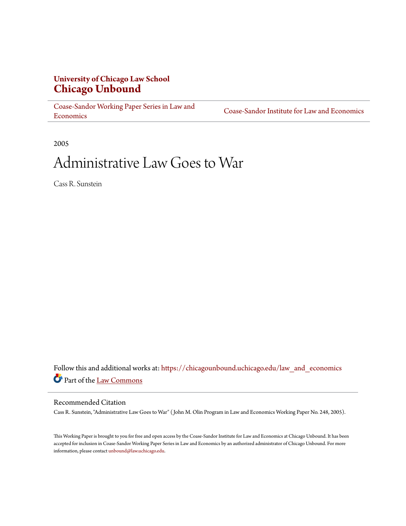## **University of Chicago Law School [Chicago Unbound](https://chicagounbound.uchicago.edu?utm_source=chicagounbound.uchicago.edu%2Flaw_and_economics%2F31&utm_medium=PDF&utm_campaign=PDFCoverPages)**

[Coase-Sandor Working Paper Series in Law and](https://chicagounbound.uchicago.edu/law_and_economics?utm_source=chicagounbound.uchicago.edu%2Flaw_and_economics%2F31&utm_medium=PDF&utm_campaign=PDFCoverPages) [Economics](https://chicagounbound.uchicago.edu/law_and_economics?utm_source=chicagounbound.uchicago.edu%2Flaw_and_economics%2F31&utm_medium=PDF&utm_campaign=PDFCoverPages)

[Coase-Sandor Institute for Law and Economics](https://chicagounbound.uchicago.edu/coase_sandor_institute?utm_source=chicagounbound.uchicago.edu%2Flaw_and_economics%2F31&utm_medium=PDF&utm_campaign=PDFCoverPages)

2005

# Administrative Law Goes to War

Cass R. Sunstein

Follow this and additional works at: [https://chicagounbound.uchicago.edu/law\\_and\\_economics](https://chicagounbound.uchicago.edu/law_and_economics?utm_source=chicagounbound.uchicago.edu%2Flaw_and_economics%2F31&utm_medium=PDF&utm_campaign=PDFCoverPages) Part of the [Law Commons](http://network.bepress.com/hgg/discipline/578?utm_source=chicagounbound.uchicago.edu%2Flaw_and_economics%2F31&utm_medium=PDF&utm_campaign=PDFCoverPages)

#### Recommended Citation

Cass R. Sunstein, "Administrative Law Goes to War" ( John M. Olin Program in Law and Economics Working Paper No. 248, 2005).

This Working Paper is brought to you for free and open access by the Coase-Sandor Institute for Law and Economics at Chicago Unbound. It has been accepted for inclusion in Coase-Sandor Working Paper Series in Law and Economics by an authorized administrator of Chicago Unbound. For more information, please contact [unbound@law.uchicago.edu.](mailto:unbound@law.uchicago.edu)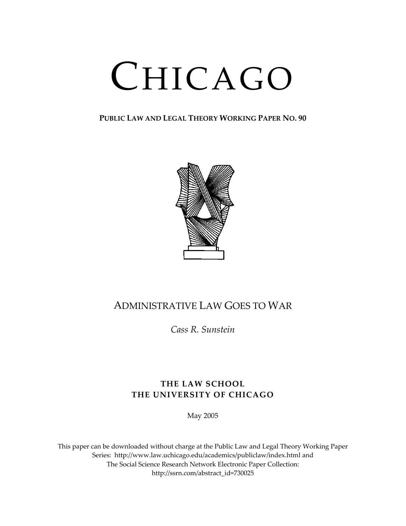# CHICAGO

**PUBLIC LAW AND LEGAL THEORY WORKING PAPER NO. 90**



# ADMINISTRATIVE LAW GOES TO WAR

*Cass R. Sunstein*

### **THE LAW SCHOOL THE UNIVERSITY OF CHICAGO**

May 2005

This paper can be downloaded without charge at the Public Law and Legal Theory Working Paper Series: http://www.law.uchicago.edu/academics/publiclaw/index.html and The Social Science Research Network Electronic Paper Collection: http://ssrn.com/abstract\_id=730025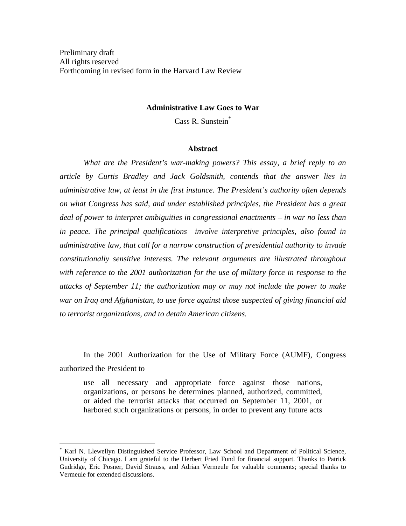Preliminary draft All rights reserved Forthcoming in revised form in the Harvard Law Review

#### **Administrative Law Goes to War**

Cass R. Sunstein\*

#### **Abstract**

*What are the President's war-making powers? This essay, a brief reply to an article by Curtis Bradley and Jack Goldsmith, contends that the answer lies in administrative law, at least in the first instance. The President's authority often depends on what Congress has said, and under established principles, the President has a great deal of power to interpret ambiguities in congressional enactments – in war no less than*  in peace. The principal qualifications involve interpretive principles, also found in *administrative law, that call for a narrow construction of presidential authority to invade constitutionally sensitive interests. The relevant arguments are illustrated throughout with reference to the 2001 authorization for the use of military force in response to the attacks of September 11; the authorization may or may not include the power to make war on Iraq and Afghanistan, to use force against those suspected of giving financial aid to terrorist organizations, and to detain American citizens.* 

In the 2001 Authorization for the Use of Military Force (AUMF), Congress authorized the President to

use all necessary and appropriate force against those nations, organizations, or persons he determines planned, authorized, committed, or aided the terrorist attacks that occurred on September 11, 2001, or harbored such organizations or persons, in order to prevent any future acts

1

<sup>\*</sup> Karl N. Llewellyn Distinguished Service Professor, Law School and Department of Political Science, University of Chicago. I am grateful to the Herbert Fried Fund for financial support. Thanks to Patrick Gudridge, Eric Posner, David Strauss, and Adrian Vermeule for valuable comments; special thanks to Vermeule for extended discussions.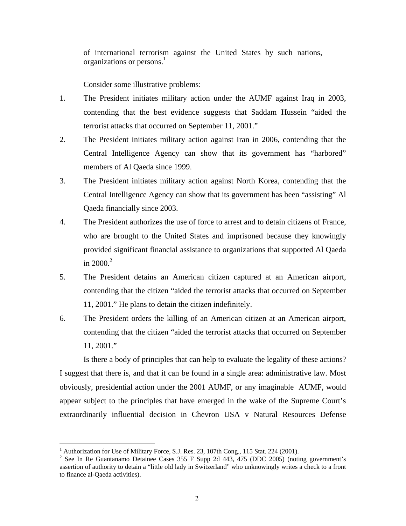of international terrorism against the United States by such nations, organizations or persons.<sup>1</sup>

Consider some illustrative problems:

- 1. The President initiates military action under the AUMF against Iraq in 2003, contending that the best evidence suggests that Saddam Hussein "aided the terrorist attacks that occurred on September 11, 2001."
- 2. The President initiates military action against Iran in 2006, contending that the Central Intelligence Agency can show that its government has "harbored" members of Al Qaeda since 1999.
- 3. The President initiates military action against North Korea, contending that the Central Intelligence Agency can show that its government has been "assisting" Al Qaeda financially since 2003.
- 4. The President authorizes the use of force to arrest and to detain citizens of France, who are brought to the United States and imprisoned because they knowingly provided significant financial assistance to organizations that supported Al Qaeda in 2000. $^{2}$
- 5. The President detains an American citizen captured at an American airport, contending that the citizen "aided the terrorist attacks that occurred on September 11, 2001." He plans to detain the citizen indefinitely.
- 6. The President orders the killing of an American citizen at an American airport, contending that the citizen "aided the terrorist attacks that occurred on September 11, 2001."

Is there a body of principles that can help to evaluate the legality of these actions? I suggest that there is, and that it can be found in a single area: administrative law. Most obviously, presidential action under the 2001 AUMF, or any imaginable AUMF, would appear subject to the principles that have emerged in the wake of the Supreme Court's extraordinarily influential decision in Chevron USA v Natural Resources Defense

 $<sup>1</sup>$  Authorization for Use of Military Force, S.J. Res. 23, 107th Cong., 115 Stat. 224 (2001).</sup>

<sup>&</sup>lt;sup>1</sup> Authorization for Use of Military Force, S.J. Res. 23, 107th Cong., 115 Stat. 224 (2001).<br><sup>2</sup> See In Re Guantanamo Detainee Cases 355 F Supp 2d 443, 475 (DDC 2005) (noting government's assertion of authority to detain a "little old lady in Switzerland" who unknowingly writes a check to a front to finance al-Qaeda activities).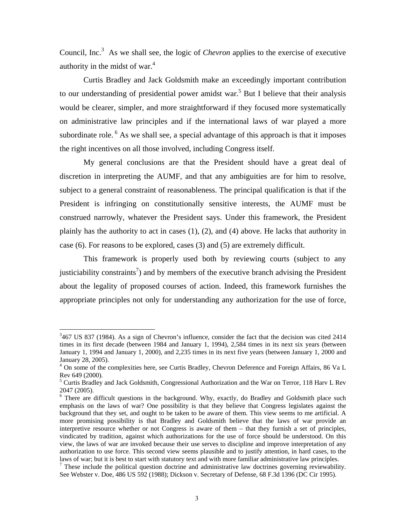Council, Inc.<sup>3</sup> As we shall see, the logic of *Chevron* applies to the exercise of executive authority in the midst of war. $4$ 

Curtis Bradley and Jack Goldsmith make an exceedingly important contribution to our understanding of presidential power amidst war.<sup>5</sup> But I believe that their analysis would be clearer, simpler, and more straightforward if they focused more systematically on administrative law principles and if the international laws of war played a more subordinate role.  $6$  As we shall see, a special advantage of this approach is that it imposes the right incentives on all those involved, including Congress itself.

My general conclusions are that the President should have a great deal of discretion in interpreting the AUMF, and that any ambiguities are for him to resolve, subject to a general constraint of reasonableness. The principal qualification is that if the President is infringing on constitutionally sensitive interests, the AUMF must be construed narrowly, whatever the President says. Under this framework, the President plainly has the authority to act in cases (1), (2), and (4) above. He lacks that authority in case (6). For reasons to be explored, cases (3) and (5) are extremely difficult.

This framework is properly used both by reviewing courts (subject to any justiciability constraints<sup>7</sup>) and by members of the executive branch advising the President about the legality of proposed courses of action. Indeed, this framework furnishes the appropriate principles not only for understanding any authorization for the use of force,

 $3467$  US 837 (1984). As a sign of Chevron's influence, consider the fact that the decision was cited 2414 times in its first decade (between 1984 and January 1, 1994), 2,584 times in its next six years (between January 1, 1994 and January 1, 2000), and 2,235 times in its next five years (between January 1, 2000 and January 28, 2005).

<sup>&</sup>lt;sup>4</sup> On some of the complexities here, see Curtis Bradley, Chevron Deference and Foreign Affairs, 86 Va L Rev 649 (2000).<br><sup>5</sup> Curtis Bradley and Jack Goldsmith, Congressional Authorization and the War on Terror, 118 Harv L Rev

<sup>2047 (2005).</sup> 

<sup>&</sup>lt;sup>6</sup> There are difficult questions in the background. Why, exactly, do Bradley and Goldsmith place such emphasis on the laws of war? One possibility is that they believe that Congress legislates against the background that they set, and ought to be taken to be aware of them. This view seems to me artificial. A more promising possibility is that Bradley and Goldsmith believe that the laws of war provide an interpretive resource whether or not Congress is aware of them – that they furnish a set of principles, vindicated by tradition, against which authorizations for the use of force should be understood. On this view, the laws of war are invoked because their use serves to discipline and improve interpretation of any authorization to use force. This second view seems plausible and to justify attention, in hard cases, to the laws of war; but it is best to start with statutory text and with more familiar administrative law principles.

 $<sup>7</sup>$  These include the political question doctrine and administrative law doctrines governing reviewability.</sup> See Webster v. Doe, 486 US 592 (1988); Dickson v. Secretary of Defense, 68 F.3d 1396 (DC Cir 1995).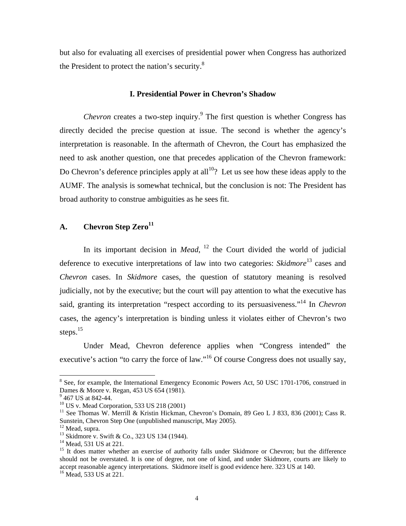but also for evaluating all exercises of presidential power when Congress has authorized the President to protect the nation's security. $8$ 

#### **I. Presidential Power in Chevron's Shadow**

*Chevron* creates a two-step inquiry.<sup>9</sup> The first question is whether Congress has directly decided the precise question at issue. The second is whether the agency's interpretation is reasonable. In the aftermath of Chevron, the Court has emphasized the need to ask another question, one that precedes application of the Chevron framework: Do Chevron's deference principles apply at all<sup>10</sup>? Let us see how these ideas apply to the AUMF. The analysis is somewhat technical, but the conclusion is not: The President has broad authority to construe ambiguities as he sees fit.

#### **A. Chevron Step Zero<sup>11</sup>**

In its important decision in *Mead*,  $12$  the Court divided the world of judicial deference to executive interpretations of law into two categories: *Skidmore*13 cases and *Chevron* cases. In *Skidmore* cases, the question of statutory meaning is resolved judicially, not by the executive; but the court will pay attention to what the executive has said, granting its interpretation "respect according to its persuasiveness."14 In *Chevron* cases, the agency's interpretation is binding unless it violates either of Chevron's two steps.<sup>15</sup>

Under Mead, Chevron deference applies when "Congress intended" the executive's action "to carry the force of law."<sup>16</sup> Of course Congress does not usually say,

1

<sup>&</sup>lt;sup>8</sup> See, for example, the International Emergency Economic Powers Act, 50 USC 1701-1706, construed in Dames & Moore v. Regan, 453 US 654 (1981).

<sup>&</sup>lt;sup>9</sup> 467 US at 842-44.

 $10$  US v. Mead Corporation, 533 US 218 (2001)

<sup>&</sup>lt;sup>11</sup> See Thomas W. Merrill & Kristin Hickman, Chevron's Domain, 89 Geo L J 833, 836 (2001); Cass R. Sunstein, Chevron Step One (unpublished manuscript, May 2005).

 $12$  Mead, supra.

<sup>&</sup>lt;sup>13</sup> Skidmore v. Swift & Co., 323 US 134 (1944).

<sup>&</sup>lt;sup>14</sup> Mead, 531 US at 221.

<sup>&</sup>lt;sup>15</sup> It does matter whether an exercise of authority falls under Skidmore or Chevron; but the difference should not be overstated. It is one of degree, not one of kind, and under Skidmore, courts are likely to accept reasonable agency interpretations. Skidmore itself is good evidence here. 323 US at 140. 16 Mead, 533 US at 221.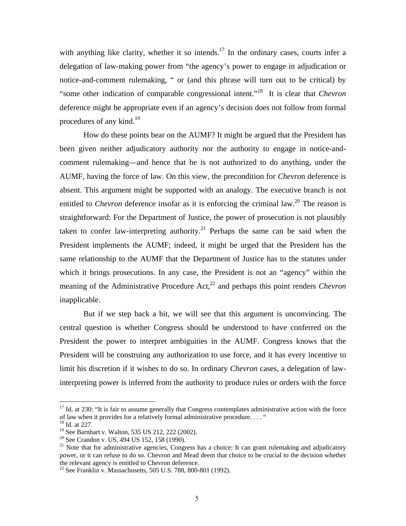with anything like clarity, whether it so intends.<sup>17</sup> In the ordinary cases, courts infer a delegation of law-making power from "the agency's power to engage in adjudication or notice-and-comment rulemaking, " or (and this phrase will turn out to be critical) by "some other indication of comparable congressional intent."18 It is clear that *Chevron* deference might be appropriate even if an agency's decision does not follow from formal procedures of any kind.<sup>19</sup>

How do these points bear on the AUMF? It might be argued that the President has been given neither adjudicatory authority nor the authority to engage in notice-andcomment rulemaking—and hence that he is not authorized to do anything, under the AUMF, having the force of law. On this view, the precondition for *Chevro*n deference is absent. This argument might be supported with an analogy. The executive branch is not entitled to *Chevron* deference insofar as it is enforcing the criminal law.<sup>20</sup> The reason is straightforward: For the Department of Justice, the power of prosecution is not plausibly taken to confer law-interpreting authority.<sup>21</sup> Perhaps the same can be said when the President implements the AUMF; indeed, it might be urged that the President has the same relationship to the AUMF that the Department of Justice has to the statutes under which it brings prosecutions. In any case, the President is not an "agency" within the meaning of the Administrative Procedure Act,<sup>22</sup> and perhaps this point renders *Chevron* inapplicable.

But if we step back a bit, we will see that this argument is unconvincing. The central question is whether Congress should be understood to have conferred on the President the power to interpret ambiguities in the AUMF. Congress knows that the President will be construing any authorization to use force, and it has every incentive to limit his discretion if it wishes to do so. In ordinary *Chevron* cases, a delegation of lawinterpreting power is inferred from the authority to produce rules or orders with the force

<sup>&</sup>lt;sup>17</sup> Id. at 230: "It is fair to assume generally that Congress contemplates administrative action with the force of law when it provides for a relatively formal administrative procedure. . . . " 18 Id. at 227.

<sup>19</sup> See Barnhart v. Walton, 535 US 212, 222 (2002).

 $20$  See Crandon v. US, 494 US 152, 158 (1990).

 $21$  Note that for administrative agencies, Congress has a choice: It can grant rulemaking and adjudicatory power, or it can refuse to do so. Chevron and Mead deem that choice to be crucial to the decision whether the relevant agency is entitled to Chevron deference.

<sup>22</sup> See Franklin v. Massachusetts, 505 U.S. 788, 800-801 (1992).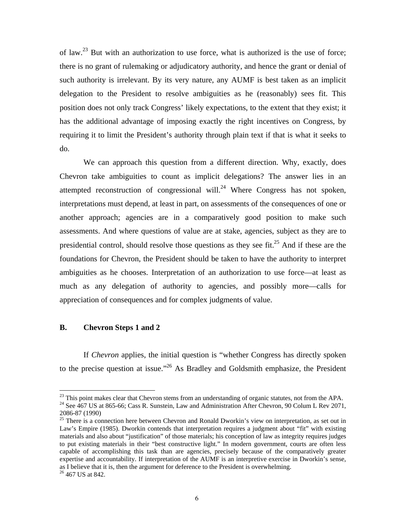of law.<sup>23</sup> But with an authorization to use force, what is authorized is the use of force; there is no grant of rulemaking or adjudicatory authority, and hence the grant or denial of such authority is irrelevant. By its very nature, any AUMF is best taken as an implicit delegation to the President to resolve ambiguities as he (reasonably) sees fit. This position does not only track Congress' likely expectations, to the extent that they exist; it has the additional advantage of imposing exactly the right incentives on Congress, by requiring it to limit the President's authority through plain text if that is what it seeks to do.

We can approach this question from a different direction. Why, exactly, does Chevron take ambiguities to count as implicit delegations? The answer lies in an attempted reconstruction of congressional will.<sup>24</sup> Where Congress has not spoken, interpretations must depend, at least in part, on assessments of the consequences of one or another approach; agencies are in a comparatively good position to make such assessments. And where questions of value are at stake, agencies, subject as they are to presidential control, should resolve those questions as they see fit.<sup>25</sup> And if these are the foundations for Chevron, the President should be taken to have the authority to interpret ambiguities as he chooses. Interpretation of an authorization to use force—at least as much as any delegation of authority to agencies, and possibly more—calls for appreciation of consequences and for complex judgments of value.

#### **B. Chevron Steps 1 and 2**

If *Chevron* applies, the initial question is "whether Congress has directly spoken to the precise question at issue."<sup>26</sup> As Bradley and Goldsmith emphasize, the President

1

<sup>&</sup>lt;sup>23</sup> This point makes clear that Chevron stems from an understanding of organic statutes, not from the APA.<br><sup>24</sup> See 467 US at 865-66; Cass R. Sunstein, Law and Administration After Chevron, 90 Colum L Rev 2071,

<sup>2086-87 (1990)</sup> 

<sup>&</sup>lt;sup>25</sup> There is a connection here between Chevron and Ronald Dworkin's view on interpretation, as set out in Law's Empire (1985). Dworkin contends that interpretation requires a judgment about "fit" with existing materials and also about "justification" of those materials; his conception of law as integrity requires judges to put existing materials in their "best constructive light." In modern government, courts are often less capable of accomplishing this task than are agencies, precisely because of the comparatively greater expertise and accountability. If interpretation of the AUMF is an interpretive exercise in Dworkin's sense, as I believe that it is, then the argument for deference to the President is overwhelming.

<sup>&</sup>lt;sup>26</sup> 467 US at 842.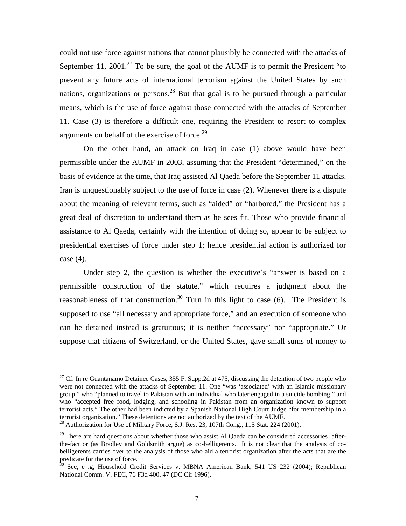could not use force against nations that cannot plausibly be connected with the attacks of September 11, 2001.<sup>27</sup> To be sure, the goal of the AUMF is to permit the President "to" prevent any future acts of international terrorism against the United States by such nations, organizations or persons.<sup>28</sup> But that goal is to be pursued through a particular means, which is the use of force against those connected with the attacks of September 11. Case (3) is therefore a difficult one, requiring the President to resort to complex arguments on behalf of the exercise of force.<sup>29</sup>

On the other hand, an attack on Iraq in case (1) above would have been permissible under the AUMF in 2003, assuming that the President "determined," on the basis of evidence at the time, that Iraq assisted Al Qaeda before the September 11 attacks. Iran is unquestionably subject to the use of force in case (2). Whenever there is a dispute about the meaning of relevant terms, such as "aided" or "harbored," the President has a great deal of discretion to understand them as he sees fit. Those who provide financial assistance to Al Qaeda, certainly with the intention of doing so, appear to be subject to presidential exercises of force under step 1; hence presidential action is authorized for case (4).

Under step 2, the question is whether the executive's "answer is based on a permissible construction of the statute," which requires a judgment about the reasonableness of that construction.<sup>30</sup> Turn in this light to case (6). The President is supposed to use "all necessary and appropriate force," and an execution of someone who can be detained instead is gratuitous; it is neither "necessary" nor "appropriate." Or suppose that citizens of Switzerland, or the United States, gave small sums of money to

<sup>&</sup>lt;sup>27</sup> Cf. In re Guantanamo Detainee Cases, 355 F. Supp.2d at 475, discussing the detention of two people who were not connected with the attacks of September 11. One "was 'associated' with an Islamic missionary group," who "planned to travel to Pakistan with an individual who later engaged in a suicide bombing," and who "accepted free food, lodging, and schooling in Pakistan from an organization known to support terrorist acts." The other had been indicted by a Spanish National High Court Judge "for membership in a terrorist organization." These detentions are not authorized by the text of the AUMF.

<sup>&</sup>lt;sup>28</sup> Authorization for Use of Military Force, S.J. Res. 23, 107th Cong., 115 Stat. 224 (2001).

 $29$  There are hard questions about whether those who assist Al Qaeda can be considered accessories afterthe-fact or (as Bradley and Goldsmith argue) as co-belligerents. It is not clear that the analysis of cobelligerents carries over to the analysis of those who aid a terrorist organization after the acts that are the predicate for the use of force.

 $30$  See, e .g, Household Credit Services v. MBNA American Bank, 541 US 232 (2004); Republican National Comm. V. FEC, 76 F3d 400, 47 (DC Cir 1996).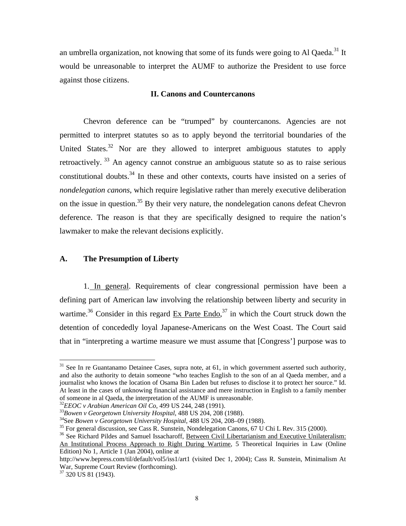an umbrella organization, not knowing that some of its funds were going to Al Qaeda.<sup>31</sup> It would be unreasonable to interpret the AUMF to authorize the President to use force against those citizens.

#### **II. Canons and Countercanons**

Chevron deference can be "trumped" by countercanons. Agencies are not permitted to interpret statutes so as to apply beyond the territorial boundaries of the United States.<sup>32</sup> Nor are they allowed to interpret ambiguous statutes to apply retroactively.  $33$  An agency cannot construe an ambiguous statute so as to raise serious constitutional doubts.<sup>34</sup> In these and other contexts, courts have insisted on a series of *nondelegation canons*, which require legislative rather than merely executive deliberation on the issue in question.<sup>35</sup> By their very nature, the nondelegation canons defeat Chevron deference. The reason is that they are specifically designed to require the nation's lawmaker to make the relevant decisions explicitly.

#### **A. The Presumption of Liberty**

1. In general. Requirements of clear congressional permission have been a defining part of American law involving the relationship between liberty and security in wartime.<sup>36</sup> Consider in this regard  $Ex$  Parte Endo.<sup>37</sup> in which the Court struck down the detention of concededly loyal Japanese-Americans on the West Coast. The Court said that in "interpreting a wartime measure we must assume that [Congress'] purpose was to

Edition) No 1, Article 1 (Jan 2004), online at

<u>.</u>

 $31$  See In re Guantanamo Detainee Cases, supra note, at 61, in which government asserted such authority, and also the authority to detain someone "who teaches English to the son of an al Qaeda member, and a journalist who knows the location of Osama Bin Laden but refuses to disclose it to protect her source." Id. At least in the cases of unknowing financial assistance and mere instruction in English to a family member of someone in al Qaeda, the interpretation of the AUMF is unreasonable.<br><sup>32</sup>EEOC v Arabian American Oil Co, 499 US 244, 248 (1991).

 $^{33}$ Bowen v Georgetown University Hospital, 488 US 204, 208 (1988).<br> $^{34}$ See Bowen v Georgetown University Hospital, 488 US 204, 208–09 (1988).<br> $^{35}$  For general discussion, see Cass R. Sunstein, Nondelegation Canons,

<sup>&</sup>lt;sup>36</sup> See Richard Pildes and Samuel Issacharoff, Between Civil Libertarianism and Executive Unilateralism: An Institutional Process Approach to Right During Wartime, 5 Theoretical Inquiries in Law (Online

http://www.bepress.com/til/default/vol5/iss1/art1 (visited Dec 1, 2004); Cass R. Sunstein, Minimalism At War, Supreme Court Review (forthcoming).

<sup>&</sup>lt;sup>37</sup> 320 US 81 (1943).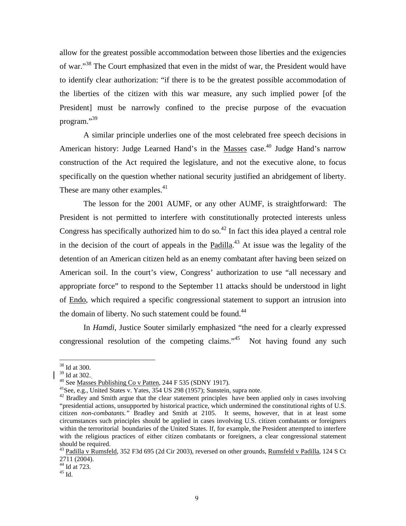allow for the greatest possible accommodation between those liberties and the exigencies of war."38 The Court emphasized that even in the midst of war, the President would have to identify clear authorization: "if there is to be the greatest possible accommodation of the liberties of the citizen with this war measure, any such implied power [of the President] must be narrowly confined to the precise purpose of the evacuation program."39

A similar principle underlies one of the most celebrated free speech decisions in American history: Judge Learned Hand's in the Masses case.<sup>40</sup> Judge Hand's narrow construction of the Act required the legislature, and not the executive alone, to focus specifically on the question whether national security justified an abridgement of liberty. These are many other examples.<sup>41</sup>

The lesson for the 2001 AUMF, or any other AUMF, is straightforward: The President is not permitted to interfere with constitutionally protected interests unless Congress has specifically authorized him to do so.<sup>42</sup> In fact this idea played a central role in the decision of the court of appeals in the  $Padilla.<sup>43</sup> At issue was the legality of the$ detention of an American citizen held as an enemy combatant after having been seized on American soil. In the court's view, Congress' authorization to use "all necessary and appropriate force" to respond to the September 11 attacks should be understood in light of Endo, which required a specific congressional statement to support an intrusion into the domain of liberty. No such statement could be found.<sup>44</sup>

In *Hamdi*, Justice Souter similarly emphasized "the need for a clearly expressed congressional resolution of the competing claims. $145$  Not having found any such

<sup>38</sup> Id at 300.

<sup>39</sup> Id at 302.

<sup>40</sup> See <u>Masses Publishing Co v Patten</u>, 244 F 535 (SDNY 1917).<br><sup>41</sup>See, e.g., United States v. Yates, 354 US 298 (1957); Sunstein, supra note.

<sup>&</sup>lt;sup>42</sup> Bradley and Smith argue that the clear statement principles have been applied only in cases involving "presidential actions, unsupported by historical practice, which undermined the constitutional rights of U.S. citizen *non-combatants."* Bradley and Smith at 2105. It seems, however, that in at least some circumstances such principles should be applied in cases involving U.S. citizen combatants or foreigners within the terroritorial boundaries of the United States. If, for example, the President attempted to interfere with the religious practices of either citizen combatants or foreigners, a clear congressional statement should be required.

<sup>&</sup>lt;sup>43</sup> Padilla v Rumsfeld, 352 F3d 695 (2d Cir 2003), reversed on other grounds, Rumsfeld v Padilla, 124 S Ct 2711 (2004).

 $44$  Id at 723.

 $45$  Id.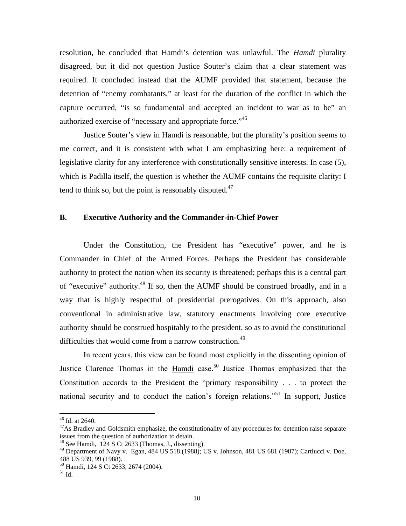resolution, he concluded that Hamdi's detention was unlawful. The *Hamdi* plurality disagreed, but it did not question Justice Souter's claim that a clear statement was required. It concluded instead that the AUMF provided that statement, because the detention of "enemy combatants," at least for the duration of the conflict in which the capture occurred, "is so fundamental and accepted an incident to war as to be" an authorized exercise of "necessary and appropriate force."46

Justice Souter's view in Hamdi is reasonable, but the plurality's position seems to me correct, and it is consistent with what I am emphasizing here: a requirement of legislative clarity for any interference with constitutionally sensitive interests. In case (5), which is Padilla itself, the question is whether the AUMF contains the requisite clarity: I tend to think so, but the point is reasonably disputed. $47$ 

#### **B. Executive Authority and the Commander-in-Chief Power**

Under the Constitution, the President has "executive" power, and he is Commander in Chief of the Armed Forces. Perhaps the President has considerable authority to protect the nation when its security is threatened; perhaps this is a central part of "executive" authority.48 If so, then the AUMF should be construed broadly, and in a way that is highly respectful of presidential prerogatives. On this approach, also conventional in administrative law, statutory enactments involving core executive authority should be construed hospitably to the president, so as to avoid the constitutional difficulties that would come from a narrow construction.<sup>49</sup>

In recent years, this view can be found most explicitly in the dissenting opinion of Justice Clarence Thomas in the Hamdi case.<sup>50</sup> Justice Thomas emphasized that the Constitution accords to the President the "primary responsibility . . . to protect the national security and to conduct the nation's foreign relations."<sup>51</sup> In support, Justice

<sup>46</sup> Id. at 2640.

 $47$ As Bradley and Goldsmith emphasize, the constitutionality of any procedures for detention raise separate issues from the question of authorization to detain.

<sup>48</sup> See Hamdi, 124 S Ct 2633 (Thomas, J., dissenting).

<sup>&</sup>lt;sup>49</sup> Department of Navy v. Egan, 484 US 518 (1988); US v. Johnson, 481 US 681 (1987); Cartlucci v. Doe, 488 US 939, 99 (1988).

 $^{50}$  Hamdi, 124 S Ct 2633, 2674 (2004).<br><sup>51</sup> Id.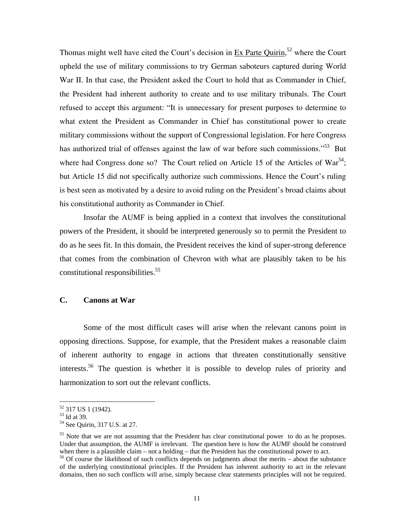Thomas might well have cited the Court's decision in  $Ex$  Parte Quirin,<sup>52</sup> where the Court upheld the use of military commissions to try German saboteurs captured during World War II. In that case, the President asked the Court to hold that as Commander in Chief, the President had inherent authority to create and to use military tribunals. The Court refused to accept this argument: "It is unnecessary for present purposes to determine to what extent the President as Commander in Chief has constitutional power to create military commissions without the support of Congressional legislation. For here Congress has authorized trial of offenses against the law of war before such commissions."<sup>53</sup> But where had Congress done so? The Court relied on Article 15 of the Articles of  $\text{War}^{54}$ ; but Article 15 did not specifically authorize such commissions. Hence the Court's ruling is best seen as motivated by a desire to avoid ruling on the President's broad claims about his constitutional authority as Commander in Chief.

Insofar the AUMF is being applied in a context that involves the constitutional powers of the President, it should be interpreted generously so to permit the President to do as he sees fit. In this domain, the President receives the kind of super-strong deference that comes from the combination of Chevron with what are plausibly taken to be his constitutional responsibilities.<sup>55</sup>

#### **C. Canons at War**

Some of the most difficult cases will arise when the relevant canons point in opposing directions. Suppose, for example, that the President makes a reasonable claim of inherent authority to engage in actions that threaten constitutionally sensitive interests.56 The question is whether it is possible to develop rules of priority and harmonization to sort out the relevant conflicts.

<u>.</u>

<sup>&</sup>lt;sup>52</sup> 317 US 1 (1942).

<sup>53</sup> Id at 39.

<sup>54</sup> See Quirin, 317 U.S. at 27.

<sup>&</sup>lt;sup>55</sup> Note that we are not assuming that the President has clear constitutional power to do as he proposes. Under that assumption, the AUMF is irrelevant. The question here is how the AUMF should be construed when there is a plausible claim – not a holding – that the President has the constitutional power to act.

<sup>&</sup>lt;sup>56</sup> Of course the likelihood of such conflicts depends on judgments about the merits – about the substance of the underlying constitutional principles. If the President has inherent authority to act in the relevant domains, then no such conflicts will arise, simply because clear statements principles will not be required.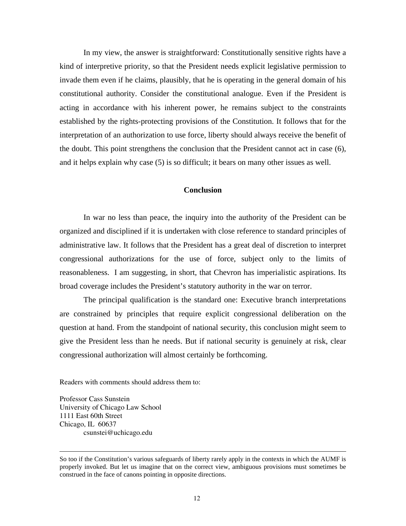In my view, the answer is straightforward: Constitutionally sensitive rights have a kind of interpretive priority, so that the President needs explicit legislative permission to invade them even if he claims, plausibly, that he is operating in the general domain of his constitutional authority. Consider the constitutional analogue. Even if the President is acting in accordance with his inherent power, he remains subject to the constraints established by the rights-protecting provisions of the Constitution. It follows that for the interpretation of an authorization to use force, liberty should always receive the benefit of the doubt. This point strengthens the conclusion that the President cannot act in case (6), and it helps explain why case (5) is so difficult; it bears on many other issues as well.

#### **Conclusion**

In war no less than peace, the inquiry into the authority of the President can be organized and disciplined if it is undertaken with close reference to standard principles of administrative law. It follows that the President has a great deal of discretion to interpret congressional authorizations for the use of force, subject only to the limits of reasonableness. I am suggesting, in short, that Chevron has imperialistic aspirations. Its broad coverage includes the President's statutory authority in the war on terror.

The principal qualification is the standard one: Executive branch interpretations are constrained by principles that require explicit congressional deliberation on the question at hand. From the standpoint of national security, this conclusion might seem to give the President less than he needs. But if national security is genuinely at risk, clear congressional authorization will almost certainly be forthcoming.

Readers with comments should address them to:

Professor Cass Sunstein University of Chicago Law School 1111 East 60th Street Chicago, IL 60637 csunstei@uchicago.edu

So too if the Constitution's various safeguards of liberty rarely apply in the contexts in which the AUMF is properly invoked. But let us imagine that on the correct view, ambiguous provisions must sometimes be construed in the face of canons pointing in opposite directions.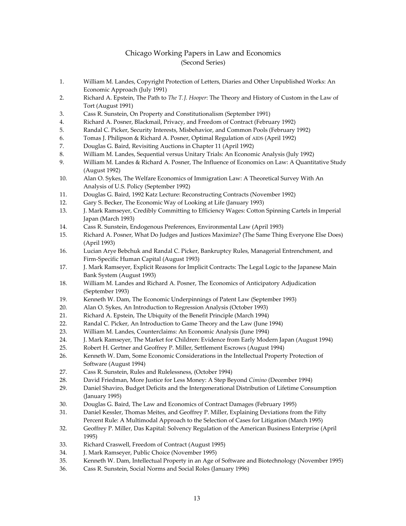#### Chicago Working Papers in Law and Economics (Second Series)

- 1. William M. Landes, Copyright Protection of Letters, Diaries and Other Unpublished Works: An Economic Approach (July 1991)
- 2. Richard A. Epstein, The Path to *The T.J. Hooper*: The Theory and History of Custom in the Law of Tort (August 1991)
- 3. Cass R. Sunstein, On Property and Constitutionalism (September 1991)
- 4. Richard A. Posner, Blackmail, Privacy, and Freedom of Contract (February 1992)
- 5. Randal C. Picker, Security Interests, Misbehavior, and Common Pools (February 1992)
- 6. Tomas J. Philipson & Richard A. Posner, Optimal Regulation of AIDS (April 1992)
- 7. Douglas G. Baird, Revisiting Auctions in Chapter 11 (April 1992)
- 8. William M. Landes, Sequential versus Unitary Trials: An Economic Analysis (July 1992)
- 9. William M. Landes & Richard A. Posner, The Influence of Economics on Law: A Quantitative Study (August 1992)
- 10. Alan O. Sykes, The Welfare Economics of Immigration Law: A Theoretical Survey With An Analysis of U.S. Policy (September 1992)
- 11. Douglas G. Baird, 1992 Katz Lecture: Reconstructing Contracts (November 1992)
- 12. Gary S. Becker, The Economic Way of Looking at Life (January 1993)
- 13. J. Mark Ramseyer, Credibly Committing to Efficiency Wages: Cotton Spinning Cartels in Imperial Japan (March 1993)
- 14. Cass R. Sunstein, Endogenous Preferences, Environmental Law (April 1993)
- 15. Richard A. Posner, What Do Judges and Justices Maximize? (The Same Thing Everyone Else Does) (April 1993)
- 16. Lucian Arye Bebchuk and Randal C. Picker, Bankruptcy Rules, Managerial Entrenchment, and Firm‐Specific Human Capital (August 1993)
- 17. J. Mark Ramseyer, Explicit Reasons for Implicit Contracts: The Legal Logic to the Japanese Main Bank System (August 1993)
- 18. William M. Landes and Richard A. Posner, The Economics of Anticipatory Adjudication (September 1993)
- 19. Kenneth W. Dam, The Economic Underpinnings of Patent Law (September 1993)
- 20. Alan O. Sykes, An Introduction to Regression Analysis (October 1993)
- 21. Richard A. Epstein, The Ubiquity of the Benefit Principle (March 1994)
- 22. Randal C. Picker, An Introduction to Game Theory and the Law (June 1994)
- 23. William M. Landes, Counterclaims: An Economic Analysis (June 1994)
- 24. J. Mark Ramseyer, The Market for Children: Evidence from Early Modern Japan (August 1994)
- 25. Robert H. Gertner and Geoffrey P. Miller, Settlement Escrows (August 1994)
- 26. Kenneth W. Dam, Some Economic Considerations in the Intellectual Property Protection of Software (August 1994)
- 27. Cass R. Sunstein, Rules and Rulelessness, (October 1994)
- 28. David Friedman, More Justice for Less Money: A Step Beyond *Cimino* (December 1994)
- 29. Daniel Shaviro, Budget Deficits and the Intergenerational Distribution of Lifetime Consumption (January 1995)
- 30. Douglas G. Baird, The Law and Economics of Contract Damages (February 1995)
- 31. Daniel Kessler, Thomas Meites, and Geoffrey P. Miller, Explaining Deviations from the Fifty Percent Rule: A Multimodal Approach to the Selection of Cases for Litigation (March 1995)
- 32. Geoffrey P. Miller, Das Kapital: Solvency Regulation of the American Business Enterprise (April 1995)
- 33. Richard Craswell, Freedom of Contract (August 1995)
- 34. J. Mark Ramseyer, Public Choice (November 1995)
- 35. Kenneth W. Dam, Intellectual Property in an Age of Software and Biotechnology (November 1995)
- 36. Cass R. Sunstein, Social Norms and Social Roles (January 1996)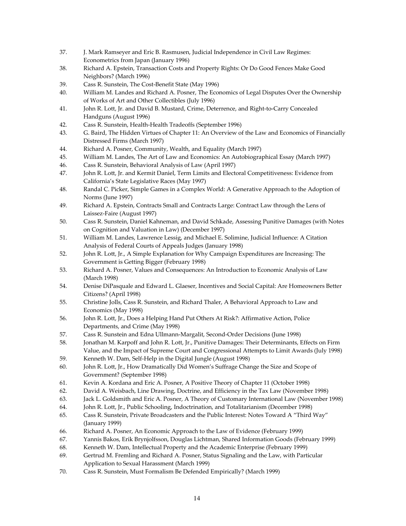- 37. J. Mark Ramseyer and Eric B. Rasmusen, Judicial Independence in Civil Law Regimes: Econometrics from Japan (January 1996)
- 38. Richard A. Epstein, Transaction Costs and Property Rights: Or Do Good Fences Make Good Neighbors? (March 1996)
- 39. Cass R. Sunstein, The Cost‐Benefit State (May 1996)
- 40. William M. Landes and Richard A. Posner, The Economics of Legal Disputes Over the Ownership of Works of Art and Other Collectibles (July 1996)
- 41. John R. Lott, Jr. and David B. Mustard, Crime, Deterrence, and Right-to-Carry Concealed Handguns (August 1996)
- 42. Cass R. Sunstein, Health‐Health Tradeoffs (September 1996)
- 43. G. Baird, The Hidden Virtues of Chapter 11: An Overview of the Law and Economics of Financially Distressed Firms (March 1997)
- 44. Richard A. Posner, Community, Wealth, and Equality (March 1997)
- 45. William M. Landes, The Art of Law and Economics: An Autobiographical Essay (March 1997)
- 46. Cass R. Sunstein, Behavioral Analysis of Law (April 1997)
- 47. John R. Lott, Jr. and Kermit Daniel, Term Limits and Electoral Competitiveness: Evidence from California's State Legislative Races (May 1997)
- 48. Randal C. Picker, Simple Games in a Complex World: A Generative Approach to the Adoption of Norms (June 1997)
- 49. Richard A. Epstein, Contracts Small and Contracts Large: Contract Law through the Lens of Laissez‐Faire (August 1997)
- 50. Cass R. Sunstein, Daniel Kahneman, and David Schkade, Assessing Punitive Damages (with Notes on Cognition and Valuation in Law) (December 1997)
- 51. William M. Landes, Lawrence Lessig, and Michael E. Solimine, Judicial Influence: A Citation Analysis of Federal Courts of Appeals Judges (January 1998)
- 52. John R. Lott, Jr., A Simple Explanation for Why Campaign Expenditures are Increasing: The Government is Getting Bigger (February 1998)
- 53. Richard A. Posner, Values and Consequences: An Introduction to Economic Analysis of Law (March 1998)
- 54. Denise DiPasquale and Edward L. Glaeser, Incentives and Social Capital: Are Homeowners Better Citizens? (April 1998)
- 55. Christine Jolls, Cass R. Sunstein, and Richard Thaler, A Behavioral Approach to Law and Economics (May 1998)
- 56. John R. Lott, Jr., Does a Helping Hand Put Others At Risk?: Affirmative Action, Police Departments, and Crime (May 1998)
- 57. Cass R. Sunstein and Edna Ullmann‐Margalit, Second‐Order Decisions (June 1998)
- 58. Jonathan M. Karpoff and John R. Lott, Jr., Punitive Damages: Their Determinants, Effects on Firm Value, and the Impact of Supreme Court and Congressional Attempts to Limit Awards (July 1998)
- 59. Kenneth W. Dam, Self-Help in the Digital Jungle (August 1998)
- 60. John R. Lott, Jr., How Dramatically Did Women's Suffrage Change the Size and Scope of Government? (September 1998)
- 61. Kevin A. Kordana and Eric A. Posner, A Positive Theory of Chapter 11 (October 1998)
- 62. David A. Weisbach, Line Drawing, Doctrine, and Efficiency in the Tax Law (November 1998)
- 63. Jack L. Goldsmith and Eric A. Posner, A Theory of Customary International Law (November 1998)
- 64. John R. Lott, Jr., Public Schooling, Indoctrination, and Totalitarianism (December 1998)
- 65. Cass R. Sunstein, Private Broadcasters and the Public Interest: Notes Toward A "Third Way" (January 1999)
- 66. Richard A. Posner, An Economic Approach to the Law of Evidence (February 1999)
- 67. Yannis Bakos, Erik Brynjolfsson, Douglas Lichtman, Shared Information Goods (February 1999)
- 68. Kenneth W. Dam, Intellectual Property and the Academic Enterprise (February 1999)
- 69. Gertrud M. Fremling and Richard A. Posner, Status Signaling and the Law, with Particular Application to Sexual Harassment (March 1999)
- 70. Cass R. Sunstein, Must Formalism Be Defended Empirically? (March 1999)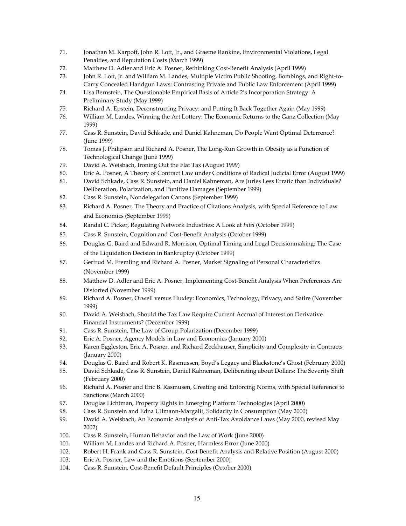- 71. Jonathan M. Karpoff, John R. Lott, Jr., and Graeme Rankine, Environmental Violations, Legal Penalties, and Reputation Costs (March 1999)
- 72. Matthew D. Adler and Eric A. Posner, Rethinking Cost‐Benefit Analysis (April 1999)
- 73. John R. Lott, Jr. and William M. Landes, Multiple Victim Public Shooting, Bombings, and Right-to-Carry Concealed Handgun Laws: Contrasting Private and Public Law Enforcement (April 1999)
- 74. Lisa Bernstein, The Questionable Empirical Basis of Article 2's Incorporation Strategy: A Preliminary Study (May 1999)
- 75. Richard A. Epstein, Deconstructing Privacy: and Putting It Back Together Again (May 1999)
- 76. William M. Landes, Winning the Art Lottery: The Economic Returns to the Ganz Collection (May 1999)
- 77. Cass R. Sunstein, David Schkade, and Daniel Kahneman, Do People Want Optimal Deterrence? (June 1999)
- 78. Tomas J. Philipson and Richard A. Posner, The Long‐Run Growth in Obesity as a Function of Technological Change (June 1999)
- 79. David A. Weisbach, Ironing Out the Flat Tax (August 1999)
- 80. Eric A. Posner, A Theory of Contract Law under Conditions of Radical Judicial Error (August 1999)
- 81. David Schkade, Cass R. Sunstein, and Daniel Kahneman, Are Juries Less Erratic than Individuals? Deliberation, Polarization, and Punitive Damages (September 1999)
- 82. Cass R. Sunstein, Nondelegation Canons (September 1999)
- 83. Richard A. Posner, The Theory and Practice of Citations Analysis, with Special Reference to Law and Economics (September 1999)
- 84. Randal C. Picker, Regulating Network Industries: A Look at *Intel* (October 1999)
- 85. Cass R. Sunstein, Cognition and Cost-Benefit Analysis (October 1999)
- 86. Douglas G. Baird and Edward R. Morrison, Optimal Timing and Legal Decisionmaking: The Case of the Liquidation Decision in Bankruptcy (October 1999)
- 87. Gertrud M. Fremling and Richard A. Posner, Market Signaling of Personal Characteristics (November 1999)
- 88. Matthew D. Adler and Eric A. Posner, Implementing Cost-Benefit Analysis When Preferences Are Distorted (November 1999)
- 89. Richard A. Posner, Orwell versus Huxley: Economics, Technology, Privacy, and Satire (November 1999)
- 90. David A. Weisbach, Should the Tax Law Require Current Accrual of Interest on Derivative Financial Instruments? (December 1999)
- 91. Cass R. Sunstein, The Law of Group Polarization (December 1999)
- 92. Eric A. Posner, Agency Models in Law and Economics (January 2000)
- 93. Karen Eggleston, Eric A. Posner, and Richard Zeckhauser, Simplicity and Complexity in Contracts (January 2000)
- 94. Douglas G. Baird and Robert K. Rasmussen, Boyd's Legacy and Blackstone's Ghost (February 2000)
- 95. David Schkade, Cass R. Sunstein, Daniel Kahneman, Deliberating about Dollars: The Severity Shift (February 2000)
- 96. Richard A. Posner and Eric B. Rasmusen, Creating and Enforcing Norms, with Special Reference to Sanctions (March 2000)
- 97. Douglas Lichtman, Property Rights in Emerging Platform Technologies (April 2000)
- 98. Cass R. Sunstein and Edna Ullmann-Margalit, Solidarity in Consumption (May 2000)
- 99. David A. Weisbach, An Economic Analysis of Anti-Tax Avoidance Laws (May 2000, revised May 2002)
- 100. Cass R. Sunstein, Human Behavior and the Law of Work (June 2000)
- 101. William M. Landes and Richard A. Posner, Harmless Error (June 2000)
- 102. Robert H. Frank and Cass R. Sunstein, Cost-Benefit Analysis and Relative Position (August 2000)
- 103. Eric A. Posner, Law and the Emotions (September 2000)
- 104. Cass R. Sunstein, Cost-Benefit Default Principles (October 2000)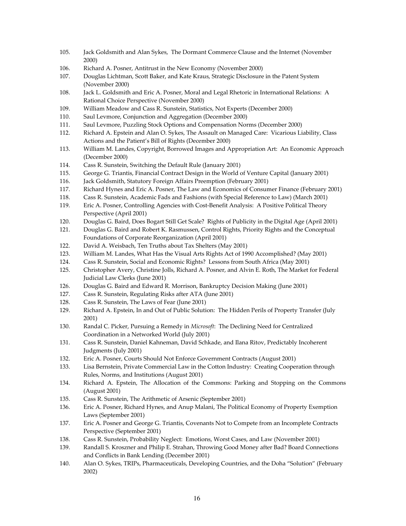- 105. Jack Goldsmith and Alan Sykes, The Dormant Commerce Clause and the Internet (November 2000)
- 106. Richard A. Posner, Antitrust in the New Economy (November 2000)
- 107. Douglas Lichtman, Scott Baker, and Kate Kraus, Strategic Disclosure in the Patent System (November 2000)
- 108. Jack L. Goldsmith and Eric A. Posner, Moral and Legal Rhetoric in International Relations: A Rational Choice Perspective (November 2000)
- 109. William Meadow and Cass R. Sunstein, Statistics, Not Experts (December 2000)
- 110. Saul Levmore, Conjunction and Aggregation (December 2000)
- 111. Saul Levmore, Puzzling Stock Options and Compensation Norms (December 2000)
- 112. Richard A. Epstein and Alan O. Sykes, The Assault on Managed Care: Vicarious Liability, Class Actions and the Patient's Bill of Rights (December 2000)
- 113. William M. Landes, Copyright, Borrowed Images and Appropriation Art: An Economic Approach (December 2000)
- 114. Cass R. Sunstein, Switching the Default Rule (January 2001)
- 115. George G. Triantis, Financial Contract Design in the World of Venture Capital (January 2001)
- 116. Jack Goldsmith, Statutory Foreign Affairs Preemption (February 2001)
- 117. Richard Hynes and Eric A. Posner, The Law and Economics of Consumer Finance (February 2001)
- 118. Cass R. Sunstein, Academic Fads and Fashions (with Special Reference to Law) (March 2001)
- 119. Eric A. Posner, Controlling Agencies with Cost-Benefit Analysis: A Positive Political Theory Perspective (April 2001)
- 120. Douglas G. Baird, Does Bogart Still Get Scale? Rights of Publicity in the Digital Age (April 2001)
- 121. Douglas G. Baird and Robert K. Rasmussen, Control Rights, Priority Rights and the Conceptual Foundations of Corporate Reorganization (April 2001)
- 122. David A. Weisbach, Ten Truths about Tax Shelters (May 2001)
- 123. William M. Landes, What Has the Visual Arts Rights Act of 1990 Accomplished? (May 2001)
- 124. Cass R. Sunstein, Social and Economic Rights? Lessons from South Africa (May 2001)
- 125. Christopher Avery, Christine Jolls, Richard A. Posner, and Alvin E. Roth, The Market for Federal Judicial Law Clerks (June 2001)
- 126. Douglas G. Baird and Edward R. Morrison, Bankruptcy Decision Making (June 2001)
- 127. Cass R. Sunstein, Regulating Risks after ATA (June 2001)
- 128. Cass R. Sunstein, The Laws of Fear (June 2001)
- 129. Richard A. Epstein, In and Out of Public Solution: The Hidden Perils of Property Transfer (July 2001)
- 130. Randal C. Picker, Pursuing a Remedy in *Microsoft*: The Declining Need for Centralized Coordination in a Networked World (July 2001)
- 131. Cass R. Sunstein, Daniel Kahneman, David Schkade, and Ilana Ritov, Predictably Incoherent Judgments (July 2001)
- 132. Eric A. Posner, Courts Should Not Enforce Government Contracts (August 2001)
- 133. Lisa Bernstein, Private Commercial Law in the Cotton Industry: Creating Cooperation through Rules, Norms, and Institutions (August 2001)
- 134. Richard A. Epstein, The Allocation of the Commons: Parking and Stopping on the Commons (August 2001)
- 135. Cass R. Sunstein, The Arithmetic of Arsenic (September 2001)
- 136. Eric A. Posner, Richard Hynes, and Anup Malani, The Political Economy of Property Exemption Laws (September 2001)
- 137. Eric A. Posner and George G. Triantis, Covenants Not to Compete from an Incomplete Contracts Perspective (September 2001)
- 138. Cass R. Sunstein, Probability Neglect: Emotions, Worst Cases, and Law (November 2001)
- 139. Randall S. Kroszner and Philip E. Strahan, Throwing Good Money after Bad? Board Connections and Conflicts in Bank Lending (December 2001)
- 140. Alan O. Sykes, TRIPs, Pharmaceuticals, Developing Countries, and the Doha "Solution" (February 2002)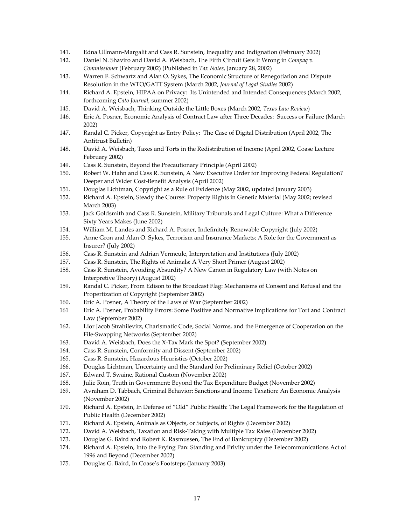- 141. Edna Ullmann‐Margalit and Cass R. Sunstein, Inequality and Indignation (February 2002)
- 142. Daniel N. Shaviro and David A. Weisbach, The Fifth Circuit Gets It Wrong in *Compaq v. Commissioner* (February 2002) (Published in *Tax Notes*, January 28, 2002)
- 143. Warren F. Schwartz and Alan O. Sykes, The Economic Structure of Renegotiation and Dispute Resolution in the WTO/GATT System (March 2002, *Journal of Legal Studies* 2002)
- 144. Richard A. Epstein, HIPAA on Privacy: Its Unintended and Intended Consequences (March 2002, forthcoming *Cato Journal*, summer 2002)
- 145. David A. Weisbach, Thinking Outside the Little Boxes (March 2002, *Texas Law Review*)
- 146. Eric A. Posner, Economic Analysis of Contract Law after Three Decades: Success or Failure (March 2002)
- 147. Randal C. Picker, Copyright as Entry Policy: The Case of Digital Distribution (April 2002, The Antitrust Bulletin)
- 148. David A. Weisbach, Taxes and Torts in the Redistribution of Income (April 2002, Coase Lecture February 2002)
- 149. Cass R. Sunstein, Beyond the Precautionary Principle (April 2002)
- 150. Robert W. Hahn and Cass R. Sunstein, A New Executive Order for Improving Federal Regulation? Deeper and Wider Cost‐Benefit Analysis (April 2002)
- 151. Douglas Lichtman, Copyright as a Rule of Evidence (May 2002, updated January 2003)
- 152. Richard A. Epstein, Steady the Course: Property Rights in Genetic Material (May 2002; revised March 2003)
- 153. Jack Goldsmith and Cass R. Sunstein, Military Tribunals and Legal Culture: What a Difference Sixty Years Makes (June 2002)
- 154. William M. Landes and Richard A. Posner, Indefinitely Renewable Copyright (July 2002)
- 155. Anne Gron and Alan O. Sykes, Terrorism and Insurance Markets: A Role for the Government as Insurer? (July 2002)
- 156. Cass R. Sunstein and Adrian Vermeule, Interpretation and Institutions (July 2002)
- 157. Cass R. Sunstein, The Rights of Animals: A Very Short Primer (August 2002)
- 158. Cass R. Sunstein, Avoiding Absurdity? A New Canon in Regulatory Law (with Notes on Interpretive Theory) (August 2002)
- 159. Randal C. Picker, From Edison to the Broadcast Flag: Mechanisms of Consent and Refusal and the Propertization of Copyright (September 2002)
- 160. Eric A. Posner, A Theory of the Laws of War (September 2002)
- 161 Eric A. Posner, Probability Errors: Some Positive and Normative Implications for Tort and Contract Law (September 2002)
- 162. Lior Jacob Strahilevitz, Charismatic Code, Social Norms, and the Emergence of Cooperation on the File‐Swapping Networks (September 2002)
- 163. David A. Weisbach, Does the X‐Tax Mark the Spot? (September 2002)
- 164. Cass R. Sunstein, Conformity and Dissent (September 2002)
- 165. Cass R. Sunstein, Hazardous Heuristics (October 2002)
- 166. Douglas Lichtman, Uncertainty and the Standard for Preliminary Relief (October 2002)
- 167. Edward T. Swaine, Rational Custom (November 2002)
- 168. Julie Roin, Truth in Government: Beyond the Tax Expenditure Budget (November 2002)
- 169. Avraham D. Tabbach, Criminal Behavior: Sanctions and Income Taxation: An Economic Analysis (November 2002)
- 170. Richard A. Epstein, In Defense of "Old" Public Health: The Legal Framework for the Regulation of Public Health (December 2002)
- 171. Richard A. Epstein, Animals as Objects, or Subjects, of Rights (December 2002)
- 172. David A. Weisbach, Taxation and Risk‐Taking with Multiple Tax Rates (December 2002)
- 173. Douglas G. Baird and Robert K. Rasmussen, The End of Bankruptcy (December 2002)
- 174. Richard A. Epstein, Into the Frying Pan: Standing and Privity under the Telecommunications Act of 1996 and Beyond (December 2002)
- 175. Douglas G. Baird, In Coase's Footsteps (January 2003)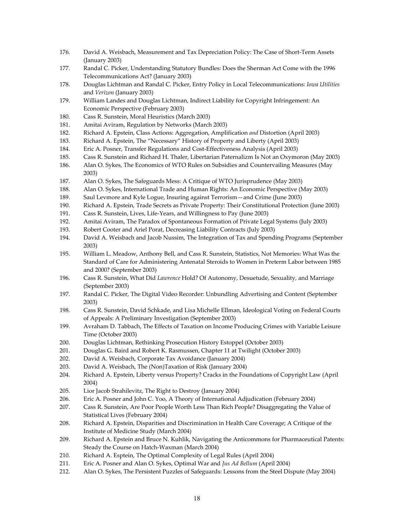- 176. David A. Weisbach, Measurement and Tax Depreciation Policy: The Case of Short‐Term Assets (January 2003)
- 177. Randal C. Picker, Understanding Statutory Bundles: Does the Sherman Act Come with the 1996 Telecommunications Act? (January 2003)
- 178. Douglas Lichtman and Randal C. Picker, Entry Policy in Local Telecommunications: *Iowa Utilities* and *Verizon* (January 2003)
- 179. William Landes and Douglas Lichtman, Indirect Liability for Copyright Infringement: An Economic Perspective (February 2003)
- 180. Cass R. Sunstein, Moral Heuristics (March 2003)
- 181. Amitai Aviram, Regulation by Networks (March 2003)
- 182. Richard A. Epstein, Class Actions: Aggregation, Amplification *and* Distortion (April 2003)
- 183. Richard A. Epstein, The "Necessary" History of Property and Liberty (April 2003)
- 184. Eric A. Posner, Transfer Regulations and Cost‐Effectiveness Analysis (April 2003)
- 185. Cass R. Sunstein and Richard H. Thaler, Libertarian Paternalizm Is Not an Oxymoron (May 2003)
- 186. Alan O. Sykes, The Economics of WTO Rules on Subsidies and Countervailing Measures (May 2003)
- 187. Alan O. Sykes, The Safeguards Mess: A Critique of WTO Jurisprudence (May 2003)
- 188. Alan O. Sykes, International Trade and Human Rights: An Economic Perspective (May 2003)
- 189. Saul Levmore and Kyle Logue, Insuring against Terrorism—and Crime (June 2003)
- 190. Richard A. Epstein, Trade Secrets as Private Property: Their Constitutional Protection (June 2003)
- 191. Cass R. Sunstein, Lives, Life-Years, and Willingness to Pay (June 2003)
- 192. Amitai Aviram, The Paradox of Spontaneous Formation of Private Legal Systems (July 2003)
- 193. Robert Cooter and Ariel Porat, Decreasing Liability Contracts (July 2003)
- 194. David A. Weisbach and Jacob Nussim, The Integration of Tax and Spending Programs (September 2003)
- 195. William L. Meadow, Anthony Bell, and Cass R. Sunstein, Statistics, Not Memories: What Was the Standard of Care for Administering Antenatal Steroids to Women in Preterm Labor between 1985 and 2000? (September 2003)
- 196. Cass R. Sunstein, What Did *Lawrence* Hold? Of Autonomy, Desuetude, Sexuality, and Marriage (September 2003)
- 197. Randal C. Picker, The Digital Video Recorder: Unbundling Advertising and Content (September 2003)
- 198. Cass R. Sunstein, David Schkade, and Lisa Michelle Ellman, Ideological Voting on Federal Courts of Appeals: A Preliminary Investigation (September 2003)
- 199. Avraham D. Tabbach, The Effects of Taxation on Income Producing Crimes with Variable Leisure Time (October 2003)
- 200. Douglas Lichtman, Rethinking Prosecution History Estoppel (October 2003)
- 201. Douglas G. Baird and Robert K. Rasmussen, Chapter 11 at Twilight (October 2003)
- 202. David A. Weisbach, Corporate Tax Avoidance (January 2004)
- 203. David A. Weisbach, The (Non)Taxation of Risk (January 2004)
- 204. Richard A. Epstein, Liberty versus Property? Cracks in the Foundations of Copyright Law (April 2004)
- 205. Lior Jacob Strahilevitz, The Right to Destroy (January 2004)
- 206. Eric A. Posner and John C. Yoo, A Theory of International Adjudication (February 2004)
- 207. Cass R. Sunstein, Are Poor People Worth Less Than Rich People? Disaggregating the Value of Statistical Lives (February 2004)
- 208. Richard A. Epstein, Disparities and Discrimination in Health Care Coverage; A Critique of the Institute of Medicine Study (March 2004)
- 209. Richard A. Epstein and Bruce N. Kuhlik, Navigating the Anticommons for Pharmaceutical Patents: Steady the Course on Hatch‐Waxman (March 2004)
- 210. Richard A. Esptein, The Optimal Complexity of Legal Rules (April 2004)
- 211. Eric A. Posner and Alan O. Sykes, Optimal War and *Jus Ad Bellum* (April 2004)
- 212. Alan O. Sykes, The Persistent Puzzles of Safeguards: Lessons from the Steel Dispute (May 2004)